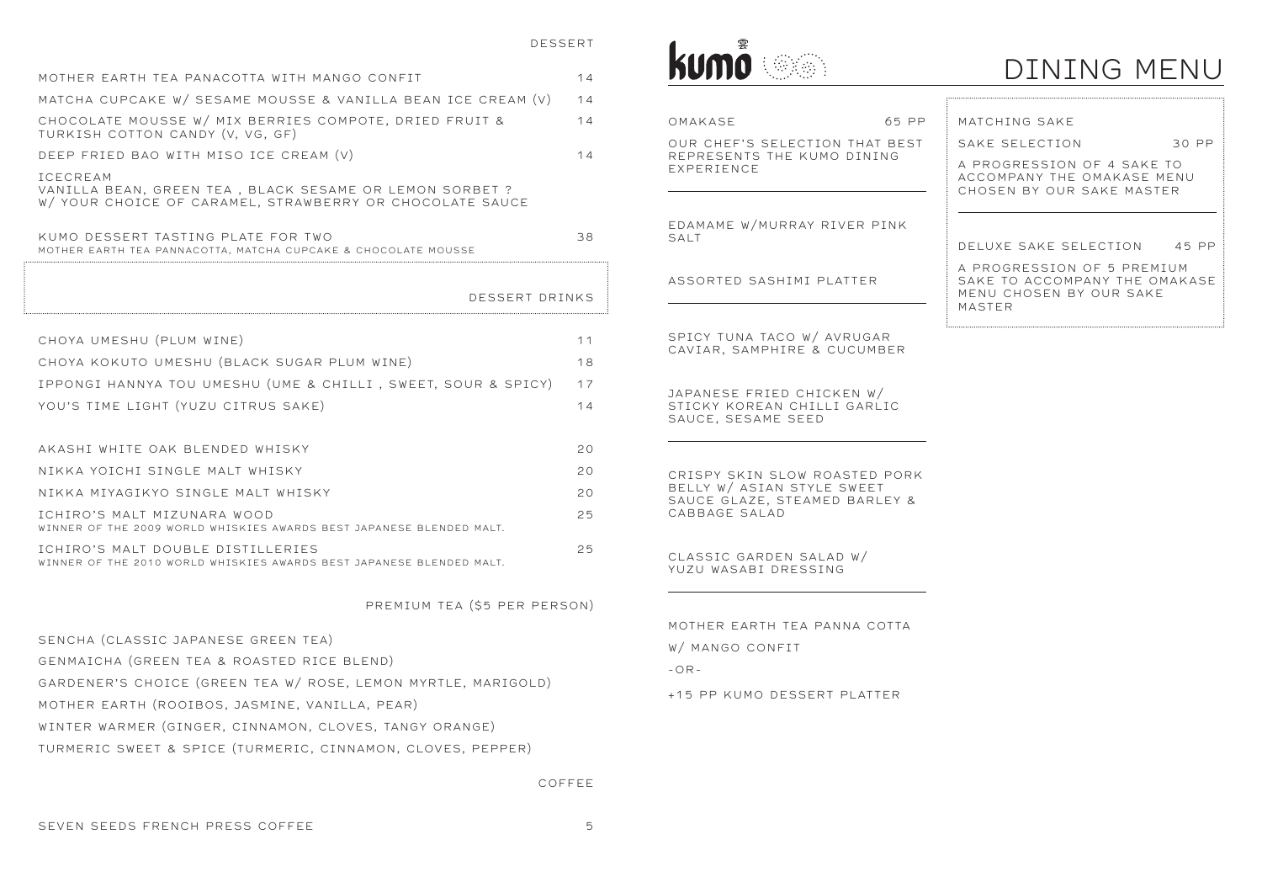| kumö |  |
|------|--|
|      |  |

MOTHER EARTH TEA PANACOTTA WITH MANGO CONFIT 14

| CHOYA UMESHU (PLUM WINE)                                      | 11 |
|---------------------------------------------------------------|----|
| CHOYA KOKUTO UMESHU (BLACK SUGAR PLUM WINE)                   | 18 |
| IPPONGI HANNYA TOU UMESHU (UME & CHILLI, SWEET, SOUR & SPICY) | 17 |
| YOU'S TIME LIGHT (YUZU CITRUS SAKE)                           | 14 |
|                                                               |    |
| AKASHI WHITE OAK BLENDED WHISKY                               | 20 |
| NIKKA YOICHI SINGLE MALT WHISKY                               | 20 |
| NIKKA MIYAGIKYO SINGLE MALT WHISKY                            | 20 |
|                                                               |    |

| ICHIRO'S MALI MIZUNARA WOOD                                          | 25 |
|----------------------------------------------------------------------|----|
| WINNER OF THE 2009 WORLD WHISKIES AWARDS BEST JAPANESE BLENDED MALT. |    |
| ICHIRO'S MALT DOUBLE DISTILLERIES                                    | 25 |
| WINNER OF THE 2010 WORLD WHISKIES AWARDS BEST JAPANESE BLENDED MALT. |    |

| MATCHA CUPCAKE W/ SESAME MOUSSE & VANILLA BEAN ICE CREAM (V)                                                                           | 14 |                                                              |                                                                                                  |
|----------------------------------------------------------------------------------------------------------------------------------------|----|--------------------------------------------------------------|--------------------------------------------------------------------------------------------------|
| CHOCOLATE MOUSSE W/ MIX BERRIES COMPOTE, DRIED FRUIT &<br>TURKISH COTTON CANDY (V, VG, GF)                                             | 14 | OMAKASE<br>65 PP                                             | MATCHING SAKE                                                                                    |
| DEEP FRIED BAO WITH MISO ICE CREAM (V)                                                                                                 | 14 | OUR CHEF'S SELECTION THAT BEST<br>REPRESENTS THE KUMO DINING | 30 PP<br>SAKE SELECTION                                                                          |
| <b>ICECREAM</b><br>VANILLA BEAN, GREEN TEA, BLACK SESAME OR LEMON SORBET ?<br>W/ YOUR CHOICE OF CARAMEL, STRAWBERRY OR CHOCOLATE SAUCE |    | EXPERIENCE                                                   | A PROGRESSION OF 4 SAKE TO<br>ACCOMPANY THE OMAKASE MENU<br>CHOSEN BY OUR SAKE MASTER            |
| KUMO DESSERT TASTING PLATE FOR TWO<br>MOTHER EARTH TEA PANNACOTTA, MATCHA CUPCAKE & CHOCOLATE MOUSSE                                   | 38 | EDAMAME W/MURRAY RIVER PINK<br>SALT                          | DELUXE SAKE SELECTION<br>45 PP                                                                   |
| DESSERT DRINKS                                                                                                                         |    | ASSORTED SASHIMI PLATTER                                     | A PROGRESSION OF 5 PREMIUM<br>SAKE TO ACCOMPANY THE OMAKASE<br>MENU CHOSEN BY OUR SAKE<br>MASTER |
| CHOYA UMESHU (PLUM WINE)                                                                                                               | 11 | SPICY TUNA TACO W/ AVRUGAR<br>CAVIAR, SAMPHIRE & CUCUMBER    |                                                                                                  |
| CHOYA KOKUTO UMESHU (BLACK SUGAR PLUM WINE)                                                                                            | 18 |                                                              |                                                                                                  |
| IPPONGI HANNYA TOU UMESHU (UME & CHILLI, SWEET, SOUR & SPICY)                                                                          | 17 | JAPANESE FRIED CHICKEN W/                                    |                                                                                                  |
| YOU'S TIME LIGHT (YUZU CITRUS SAKE)                                                                                                    | 14 | STICKY KOREAN CHILLI GARLIC<br>SAUCE, SESAME SEED            |                                                                                                  |
| AKASHI WHITE OAK BLENDED WHISKY                                                                                                        | 20 |                                                              |                                                                                                  |
| NIKKA YOICHI SINGLE MALT WHISKY                                                                                                        | 20 | CRISPY SKIN SLOW ROASTED PORK                                |                                                                                                  |
| NIKKA MIYAGIKYO SINGLE MALT WHISKY                                                                                                     | 20 | BELLY W/ ASIAN STYLE SWEET<br>SAUCE GLAZE, STEAMED BARLEY &  |                                                                                                  |
| ICHIRO'S MALT MIZUNARA WOOD<br>WINNER OF THE 2009 WORLD WHISKIES AWARDS BEST JAPANESE BLENDED MALT.                                    | 25 | CABBAGE SALAD                                                |                                                                                                  |
| ICHIRO'S MALT DOUBLE DISTILLERIES<br>WINNER OF THE 2010 WORLD WHISKIES AWARDS BEST JAPANESE BLENDED MALT.                              | 25 | CLASSIC GARDEN SALAD W/<br>YUZU WASABI DRESSING              |                                                                                                  |
| PREMIUM TEA (\$5 PER PERSON)                                                                                                           |    |                                                              |                                                                                                  |
| SENCHA (CLASSIC JAPANESE GREEN TEA)                                                                                                    |    | MOTHER EARTH TEA PANNA COTTA                                 |                                                                                                  |
| GENMAICHA (GREEN TEA & ROASTED RICE BLEND)                                                                                             |    | W/ MANGO CONFIT                                              |                                                                                                  |
| GARDENER'S CHOICE (GREEN TEA W/ ROSE, LEMON MYRTLE, MARIGOLD)                                                                          |    | $-OR-$                                                       |                                                                                                  |
| MOTHER EARTH (ROOIBOS, JASMINE, VANILLA, PEAR)                                                                                         |    | +15 PP KUMO DESSERT PLATTER                                  |                                                                                                  |
| WINTER WARMER (GINGER, CINNAMON, CLOVES, TANGY ORANGE)                                                                                 |    |                                                              |                                                                                                  |
| TURMERIC SWEET & SPICE (TURMERIC, CINNAMON, CLOVES, PEPPER)                                                                            |    |                                                              |                                                                                                  |
|                                                                                                                                        |    |                                                              |                                                                                                  |

|                                                               | TTV LILEIN LAINTILLI LLA LAININA N |
|---------------------------------------------------------------|------------------------------------|
| SENCHA (CLASSIC JAPANESE GREEN TEA)                           | W/ MANGO CONFIT                    |
| GENMAICHA (GREEN TEA & ROASTED RICE BLEND)                    | $-OR-$                             |
| GARDENER'S CHOICE (GREEN TEA W/ ROSE, LEMON MYRTLE, MARIGOLD) |                                    |
| MOTHER EARTH (ROOIBOS, JASMINE, VANILLA, PEAR)                | +15 PP KUMO DESSERT PLAT           |
| WINTER WARMER (GINGER, CINNAMON, CLOVES, TANGY ORANGE)        |                                    |
| TURMERIC SWEET & SPICE (TURMERIC, CINNAMON, CLOVES, PEPPER)   |                                    |

COFFEE

## DINING MENU